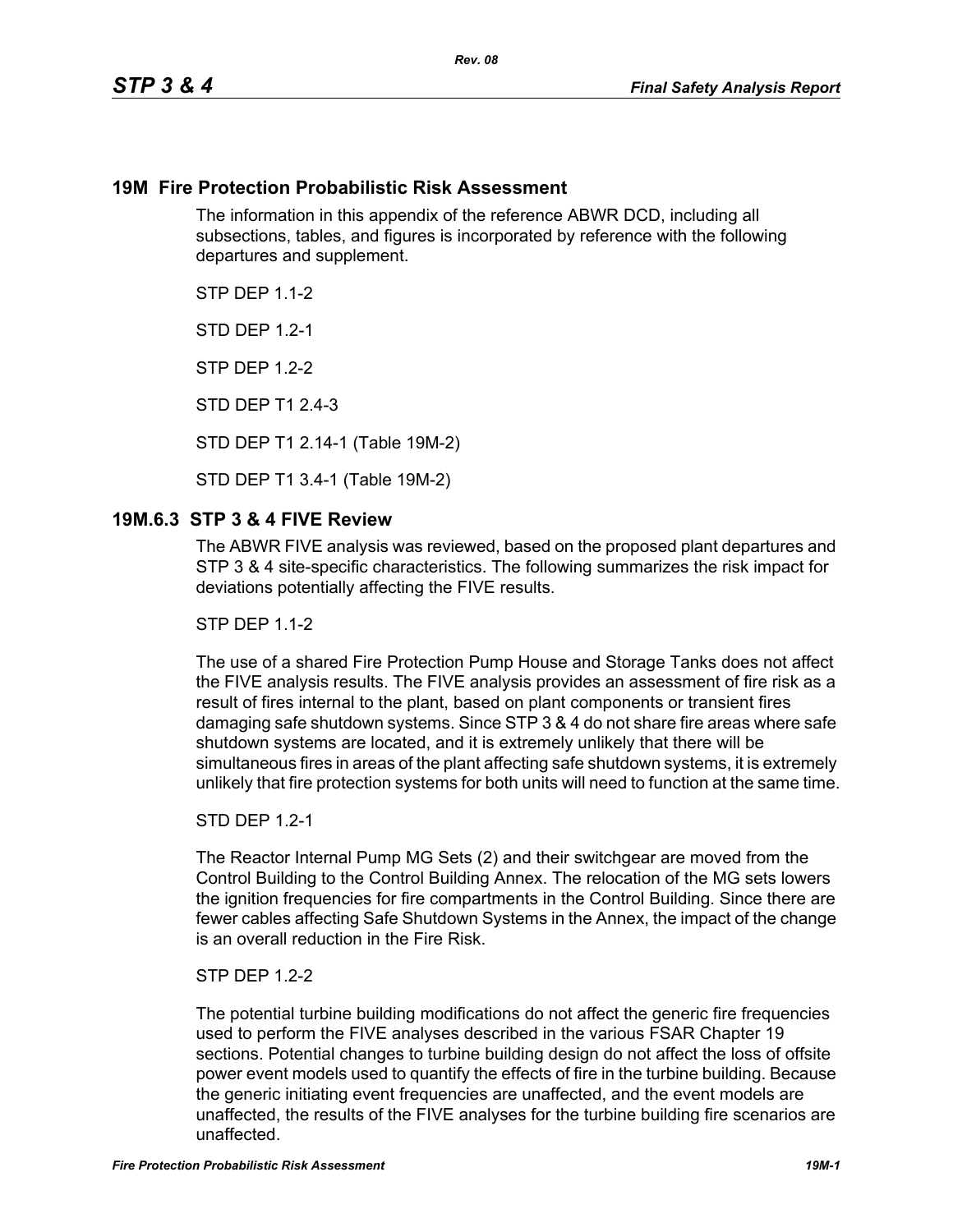## **19M Fire Protection Probabilistic Risk Assessment**

The information in this appendix of the reference ABWR DCD, including all subsections, tables, and figures is incorporated by reference with the following departures and supplement.

**STP DFP 1 1-2** 

**STD DFP 12-1** 

STP DEP 1.2-2

STD DEP T1 2.4-3

STD DEP T1 2.14-1 (Table 19M-2)

STD DEP T1 3.4-1 (Table 19M-2)

## **19M.6.3 STP 3 & 4 FIVE Review**

The ABWR FIVE analysis was reviewed, based on the proposed plant departures and STP 3 & 4 site-specific characteristics. The following summarizes the risk impact for deviations potentially affecting the FIVE results.

**STP DFP 1 1-2** 

The use of a shared Fire Protection Pump House and Storage Tanks does not affect the FIVE analysis results. The FIVE analysis provides an assessment of fire risk as a result of fires internal to the plant, based on plant components or transient fires damaging safe shutdown systems. Since STP 3 & 4 do not share fire areas where safe shutdown systems are located, and it is extremely unlikely that there will be simultaneous fires in areas of the plant affecting safe shutdown systems, it is extremely unlikely that fire protection systems for both units will need to function at the same time.

#### STD DEP 1.2-1

The Reactor Internal Pump MG Sets (2) and their switchgear are moved from the Control Building to the Control Building Annex. The relocation of the MG sets lowers the ignition frequencies for fire compartments in the Control Building. Since there are fewer cables affecting Safe Shutdown Systems in the Annex, the impact of the change is an overall reduction in the Fire Risk.

#### STP DEP 1.2-2

The potential turbine building modifications do not affect the generic fire frequencies used to perform the FIVE analyses described in the various FSAR Chapter 19 sections. Potential changes to turbine building design do not affect the loss of offsite power event models used to quantify the effects of fire in the turbine building. Because the generic initiating event frequencies are unaffected, and the event models are unaffected, the results of the FIVE analyses for the turbine building fire scenarios are unaffected.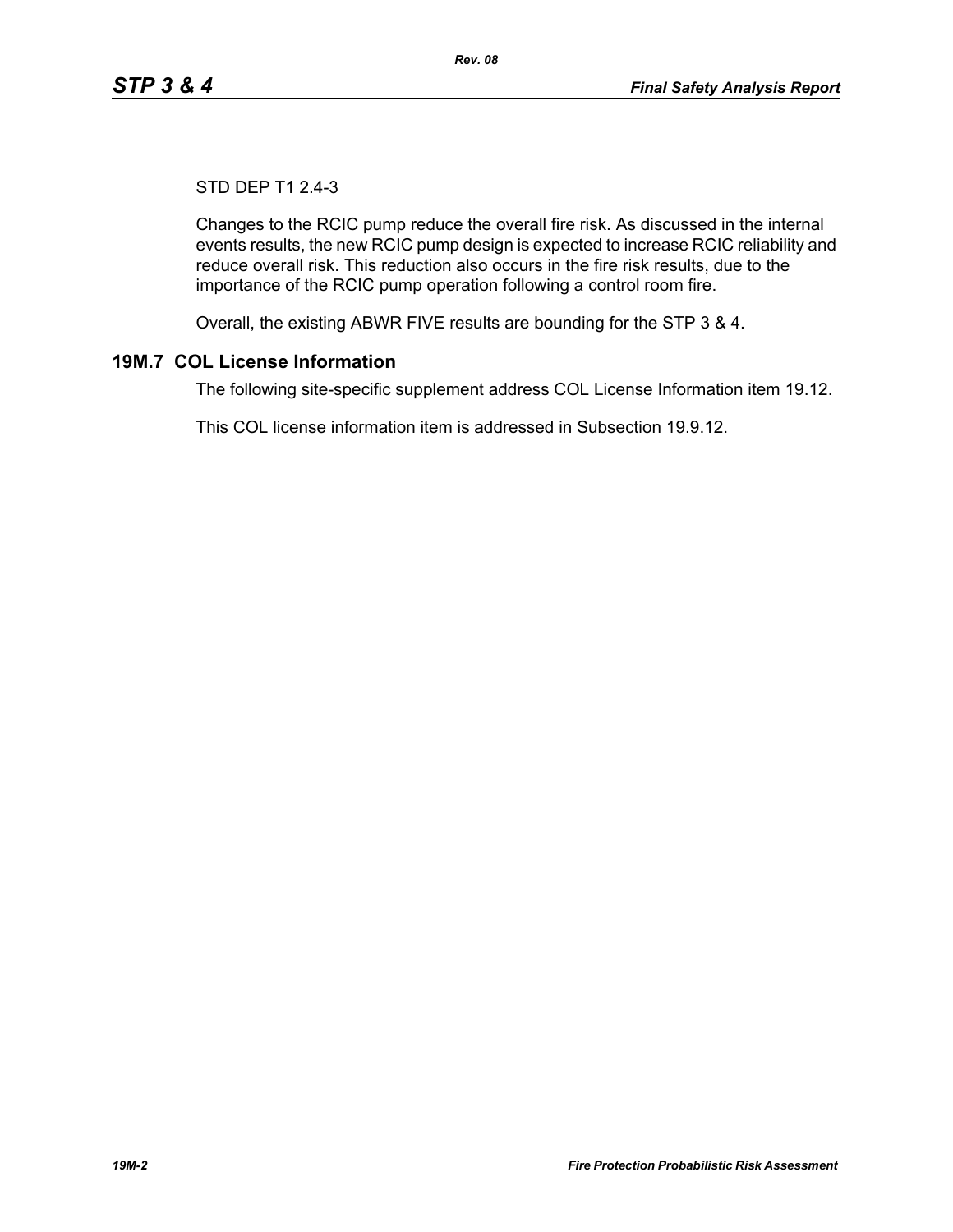# STD DEP T1 2.4-3

Changes to the RCIC pump reduce the overall fire risk. As discussed in the internal events results, the new RCIC pump design is expected to increase RCIC reliability and reduce overall risk. This reduction also occurs in the fire risk results, due to the importance of the RCIC pump operation following a control room fire.

Overall, the existing ABWR FIVE results are bounding for the STP 3 & 4.

# **19M.7 COL License Information**

The following site-specific supplement address COL License Information item 19.12.

This COL license information item is addressed in Subsection 19.9.12.